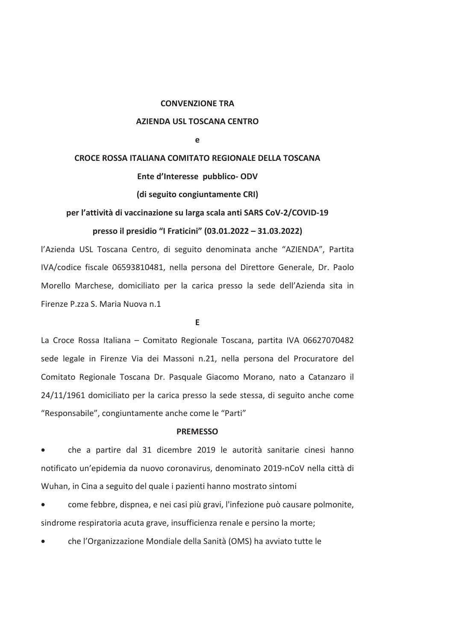#### **CONVENZIONE TRA**

#### **AZIENDA USL TOSCANA CENTRO**

 $\Delta$ 

# CROCE ROSSA ITALIANA COMITATO REGIONALE DELLA TOSCANA

Ente d'Interesse pubblico-ODV

(di seguito congiuntamente CRI)

per l'attività di vaccinazione su larga scala anti SARS CoV-2/COVID-19 presso il presidio "I Fraticini" (03.01.2022 - 31.03.2022)

l'Azienda USL Toscana Centro, di seguito denominata anche "AZIENDA", Partita IVA/codice fiscale 06593810481, nella persona del Direttore Generale, Dr. Paolo Morello Marchese, domiciliato per la carica presso la sede dell'Azienda sita in Firenze P.zza S. Maria Nuova n.1

E

La Croce Rossa Italiana - Comitato Regionale Toscana, partita IVA 06627070482 sede legale in Firenze Via dei Massoni n.21, nella persona del Procuratore del Comitato Regionale Toscana Dr. Pasquale Giacomo Morano, nato a Catanzaro il 24/11/1961 domiciliato per la carica presso la sede stessa, di seguito anche come "Responsabile", congiuntamente anche come le "Parti"

#### **PREMESSO**

che a partire dal 31 dicembre 2019 le autorità sanitarie cinesi hanno notificato un'epidemia da nuovo coronavirus, denominato 2019-nCoV nella città di Wuhan, in Cina a seguito del quale i pazienti hanno mostrato sintomi

come febbre, dispnea, e nei casi più gravi, l'infezione può causare polmonite, sindrome respiratoria acuta grave, insufficienza renale e persino la morte;

che l'Organizzazione Mondiale della Sanità (OMS) ha avviato tutte le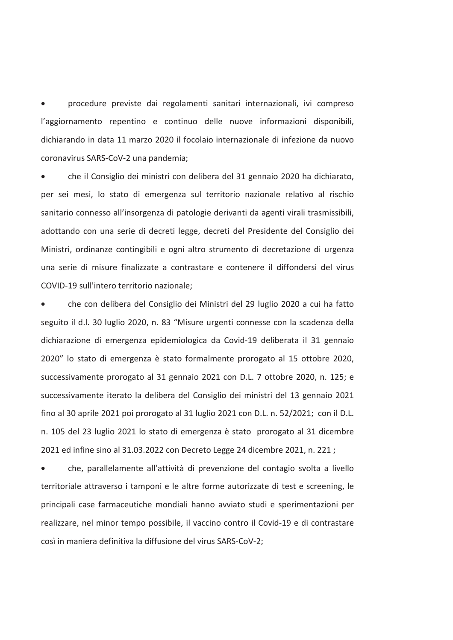procedure previste dai regolamenti sanitari internazionali, ivi compreso l'aggiornamento repentino e continuo delle nuove informazioni disponibili, dichiarando in data 11 marzo 2020 il focolajo internazionale di infezione da nuovo coronavirus SARS-CoV-2 una pandemia:

che il Consiglio dei ministri con delibera del 31 gennaio 2020 ha dichiarato, per sei mesi, lo stato di emergenza sul territorio nazionale relativo al rischio sanitario connesso all'insorgenza di patologie derivanti da agenti virali trasmissibili. adottando con una serie di decreti legge, decreti del Presidente del Consiglio dei Ministri, ordinanze contingibili e ogni altro strumento di decretazione di urgenza una serie di misure finalizzate a contrastare e contenere il diffondersi del virus COVID-19 sull'intero territorio nazionale;

che con delibera del Consiglio dei Ministri del 29 luglio 2020 a cui ha fatto seguito il d.l. 30 luglio 2020, n. 83 "Misure urgenti connesse con la scadenza della dichiarazione di emergenza epidemiologica da Covid-19 deliberata il 31 gennaio 2020" lo stato di emergenza è stato formalmente prorogato al 15 ottobre 2020, successivamente prorogato al 31 gennaio 2021 con D.L. 7 ottobre 2020, n. 125; e successivamente iterato la delibera del Consiglio dei ministri del 13 gennaio 2021 fino al 30 aprile 2021 poi prorogato al 31 luglio 2021 con D.L. n. 52/2021; con il D.L. n. 105 del 23 luglio 2021 lo stato di emergenza è stato prorogato al 31 dicembre 2021 ed infine sino al 31.03.2022 con Decreto Legge 24 dicembre 2021, n. 221;

che, parallelamente all'attività di prevenzione del contagio svolta a livello territoriale attraverso i tamponi e le altre forme autorizzate di test e screening, le principali case farmaceutiche mondiali hanno avviato studi e sperimentazioni per realizzare, nel minor tempo possibile, il vaccino contro il Covid-19 e di contrastare così in maniera definitiva la diffusione del virus SARS-CoV-2;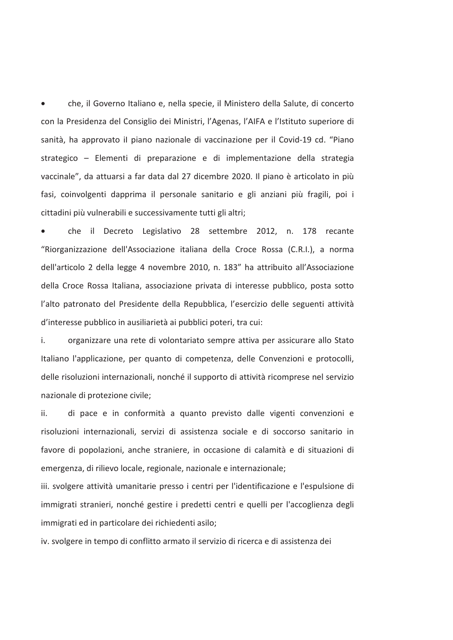che, il Governo Italiano e, nella specie, il Ministero della Salute, di concerto con la Presidenza del Consiglio dei Ministri, l'Agenas, l'AIFA e l'Istituto superiore di sanità, ha approvato il piano nazionale di vaccinazione per il Covid-19 cd. "Piano strategico – Elementi di preparazione e di implementazione della strategia vaccinale", da attuarsi a far data dal 27 dicembre 2020. Il piano è articolato in più fasi, coinvolgenti dapprima il personale sanitario e gli anziani più fragili, poi i cittadini più vulnerabili e successivamente tutti gli altri:

che il Decreto Legislativo 28 settembre 2012, n. 178 recante "Riorganizzazione dell'Associazione italiana della Croce Rossa (C.R.I.), a norma dell'articolo 2 della legge 4 novembre 2010, n. 183" ha attribuito all'Associazione della Croce Rossa Italiana, associazione privata di interesse pubblico, posta sotto l'alto patronato del Presidente della Repubblica, l'esercizio delle seguenti attività d'interesse pubblico in ausiliarietà ai pubblici poteri, tra cui:

i. organizzare una rete di volontariato sempre attiva per assicurare allo Stato Italiano l'applicazione, per quanto di competenza, delle Convenzioni e protocolli, delle risoluzioni internazionali, nonché il supporto di attività ricomprese nel servizio nazionale di protezione civile;

ii. di pace e in conformità a quanto previsto dalle vigenti convenzioni e risoluzioni internazionali, servizi di assistenza sociale e di soccorso sanitario in favore di popolazioni, anche straniere, in occasione di calamità e di situazioni di emergenza, di rilievo locale, regionale, nazionale e internazionale;

iii. svolgere attività umanitarie presso i centri per l'identificazione e l'espulsione di immigrati stranieri, nonché gestire i predetti centri e quelli per l'accoglienza degli immigrati ed in particolare dei richiedenti asilo;

iv. svolgere in tempo di conflitto armato il servizio di ricerca e di assistenza dei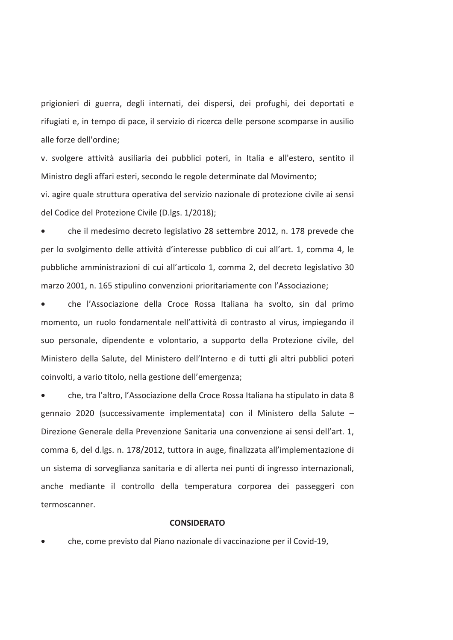prigionieri di guerra, degli internati, dei dispersi, dei profughi, dei deportati e rifugiati e, in tempo di pace, il servizio di ricerca delle persone scomparse in ausilio alle forze dell'ordine:

v. svolgere attività ausiliaria dei pubblici poteri, in Italia e all'estero, sentito il Ministro degli affari esteri, secondo le regole determinate dal Movimento;

vi. agire quale struttura operativa del servizio nazionale di protezione civile ai sensi del Codice del Protezione Civile (D.lgs. 1/2018):

che il medesimo decreto legislativo 28 settembre 2012, n. 178 prevede che per lo svolgimento delle attività d'interesse pubblico di cui all'art. 1, comma 4, le pubbliche amministrazioni di cui all'articolo 1, comma 2, del decreto legislativo 30 marzo 2001, n. 165 stipulino convenzioni prioritariamente con l'Associazione;

che l'Associazione della Croce Rossa Italiana ha svolto, sin dal primo momento, un ruolo fondamentale nell'attività di contrasto al virus, impiegando il suo personale, dipendente e volontario, a supporto della Protezione civile, del Ministero della Salute, del Ministero dell'Interno e di tutti gli altri pubblici poteri coinvolti, a vario titolo, nella gestione dell'emergenza;

che, tra l'altro, l'Associazione della Croce Rossa Italiana ha stipulato in data 8 gennaio 2020 (successivamente implementata) con il Ministero della Salute -Direzione Generale della Prevenzione Sanitaria una convenzione ai sensi dell'art. 1, comma 6, del d.lgs. n. 178/2012, tuttora in auge, finalizzata all'implementazione di un sistema di sorveglianza sanitaria e di allerta nei punti di ingresso internazionali, anche mediante il controllo della temperatura corporea dei passeggeri con termoscanner.

## **CONSIDERATO**

che, come previsto dal Piano nazionale di vaccinazione per il Covid-19,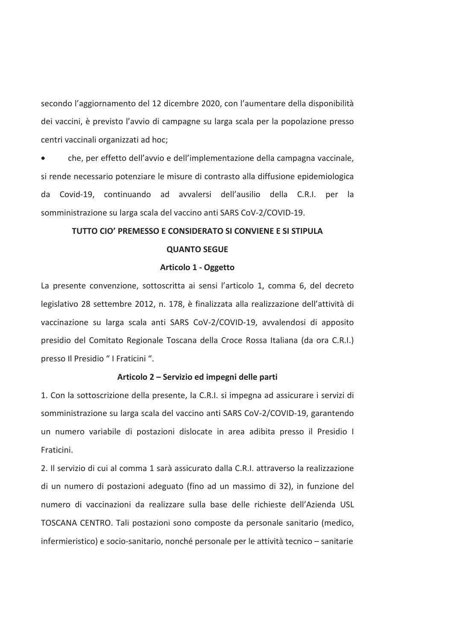secondo l'aggiornamento del 12 dicembre 2020, con l'aumentare della disponibilità dei vaccini, è previsto l'avvio di campagne su larga scala per la popolazione presso centri vaccinali organizzati ad hoc;

che, per effetto dell'avvio e dell'implementazione della campagna vaccinale. si rende necessario potenziare le misure di contrasto alla diffusione epidemiologica da Covid-19, continuando ad avvalersi dell'ausilio della C.R.I. per la somministrazione su larga scala del vaccino anti SARS CoV-2/COVID-19.

# TUTTO CIO' PREMESSO E CONSIDERATO SI CONVIENE E SI STIPULA

## **OUANTO SEGUE**

#### Articolo 1 - Oggetto

La presente convenzione, sottoscritta ai sensi l'articolo 1, comma 6, del decreto legislativo 28 settembre 2012, n. 178, è finalizzata alla realizzazione dell'attività di vaccinazione su larga scala anti SARS CoV-2/COVID-19, avvalendosi di apposito presidio del Comitato Regionale Toscana della Croce Rossa Italiana (da ora C.R.I.) presso Il Presidio " I Fraticini ".

#### Articolo 2 – Servizio ed impegni delle parti

1. Con la sottoscrizione della presente, la C.R.I. si impegna ad assicurare i servizi di somministrazione su larga scala del vaccino anti SARS CoV-2/COVID-19, garantendo un numero variabile di postazioni dislocate in area adibita presso il Presidio I Fraticini.

2. Il servizio di cui al comma 1 sarà assicurato dalla C.R.I. attraverso la realizzazione di un numero di postazioni adeguato (fino ad un massimo di 32), in funzione del numero di vaccinazioni da realizzare sulla base delle richieste dell'Azienda USL TOSCANA CENTRO. Tali postazioni sono composte da personale sanitario (medico, infermieristico) e socio-sanitario, nonché personale per le attività tecnico - sanitarie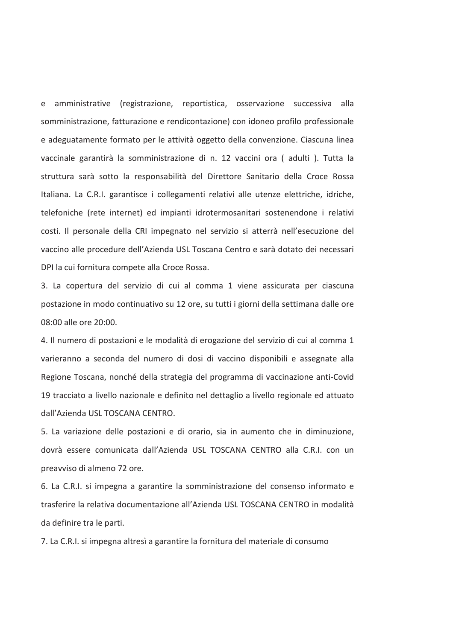amministrative (registrazione, reportistica, osservazione successiva alla e somministrazione, fatturazione e rendicontazione) con idoneo profilo professionale e adeguatamente formato per le attività oggetto della convenzione. Ciascuna linea vaccinale garantirà la somministrazione di n. 12 vaccini ora (adulti). Tutta la struttura sarà sotto la responsabilità del Direttore Sanitario della Croce Rossa Italiana. La C.R.I. garantisce i collegamenti relativi alle utenze elettriche, idriche, telefoniche (rete internet) ed impianti idrotermosanitari sostenendone i relativi costi. Il personale della CRI impegnato nel servizio si atterrà nell'esecuzione del vaccino alle procedure dell'Azienda USL Toscana Centro e sarà dotato dei necessari DPI la cui fornitura compete alla Croce Rossa.

3. La copertura del servizio di cui al comma 1 viene assicurata per ciascuna postazione in modo continuativo su 12 ore, su tutti i giorni della settimana dalle ore 08:00 alle ore 20:00.

4. Il numero di postazioni e le modalità di erogazione del servizio di cui al comma 1 varieranno a seconda del numero di dosi di vaccino disponibili e assegnate alla Regione Toscana, nonché della strategia del programma di vaccinazione anti-Covid 19 tracciato a livello nazionale e definito nel dettaglio a livello regionale ed attuato dall'Azienda USL TOSCANA CENTRO.

5. La variazione delle postazioni e di orario, sia in aumento che in diminuzione, dovrà essere comunicata dall'Azienda USL TOSCANA CENTRO alla C.R.I. con un preavviso di almeno 72 ore.

6. La C.R.I. si impegna a garantire la somministrazione del consenso informato e trasferire la relativa documentazione all'Azienda USL TOSCANA CENTRO in modalità da definire tra le parti.

7. La C.R.I. si impegna altresì a garantire la fornitura del materiale di consumo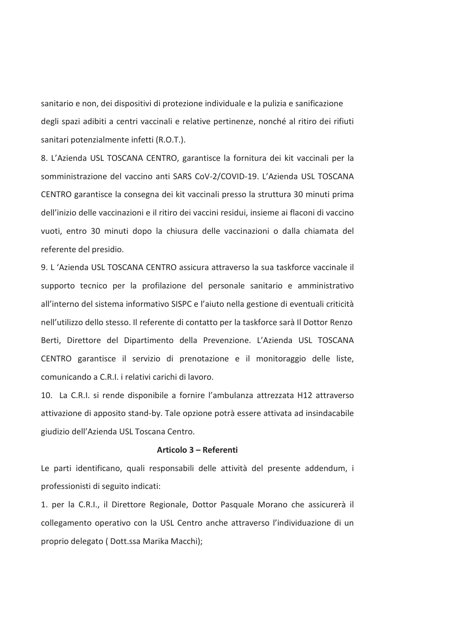sanitario e non, dei dispositivi di protezione individuale e la pulizia e sanificazione degli spazi adibiti a centri vaccinali e relative pertinenze, nonché al ritiro dei rifiuti sanitari potenzialmente infetti (R.O.T.).

8. L'Azienda USL TOSCANA CENTRO, garantisce la fornitura dei kit vaccinali per la somministrazione del vaccino anti SARS CoV-2/COVID-19. L'Azienda USL TOSCANA CENTRO garantisce la consegna dei kit vaccinali presso la struttura 30 minuti prima dell'inizio delle vaccinazioni e il ritiro dei vaccini residui, insieme ai flaconi di vaccino vuoti, entro 30 minuti dopo la chiusura delle vaccinazioni o dalla chiamata del referente del presidio.

9. L'Azienda USL TOSCANA CENTRO assicura attraverso la sua taskforce vaccinale il supporto tecnico per la profilazione del personale sanitario e amministrativo all'interno del sistema informativo SISPC e l'aiuto nella gestione di eventuali criticità nell'utilizzo dello stesso. Il referente di contatto per la taskforce sarà Il Dottor Renzo Berti, Direttore del Dipartimento della Prevenzione. L'Azienda USL TOSCANA CENTRO garantisce il servizio di prenotazione e il monitoraggio delle liste, comunicando a C.R.I. i relativi carichi di lavoro.

10. La C.R.I. si rende disponibile a fornire l'ambulanza attrezzata H12 attraverso attivazione di apposito stand-by. Tale opzione potrà essere attivata ad insindacabile giudizio dell'Azienda USL Toscana Centro.

#### Articolo 3 - Referenti

Le parti identificano, quali responsabili delle attività del presente addendum, i professionisti di seguito indicati:

1. per la C.R.I., il Direttore Regionale, Dottor Pasquale Morano che assicurerà il collegamento operativo con la USL Centro anche attraverso l'individuazione di un proprio delegato (Dott.ssa Marika Macchi);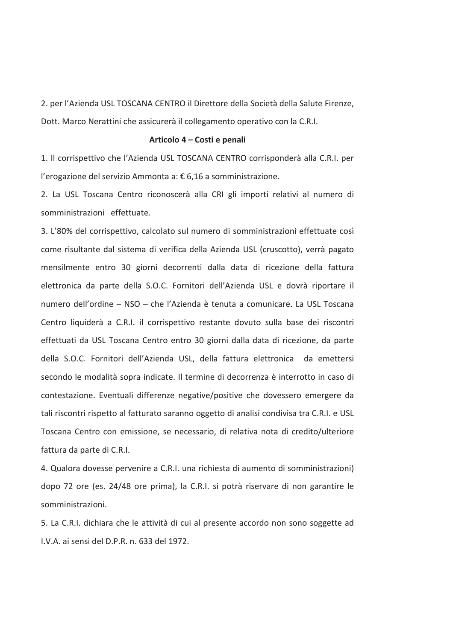2. per l'Azienda USL TOSCANA CENTRO il Direttore della Società della Salute Firenze, Dott. Marco Nerattini che assicurerà il collegamento operativo con la C.R.I.

#### Articolo 4 – Costi e penali

1. Il corrispettivo che l'Azienda USL TOSCANA CENTRO corrisponderà alla C.R.I. per l'erogazione del servizio Ammonta a: € 6,16 a somministrazione.

2. La USL Toscana Centro riconoscerà alla CRI gli importi relativi al numero di somministrazioni effettuate.

3. L'80% del corrispettivo, calcolato sul numero di somministrazioni effettuate così come risultante dal sistema di verifica della Azienda USL (cruscotto), verrà pagato mensilmente entro 30 giorni decorrenti dalla data di ricezione della fattura elettronica da parte della S.O.C. Fornitori dell'Azienda USL e dovrà riportare il numero dell'ordine - NSO - che l'Azienda è tenuta a comunicare. La USL Toscana Centro liquiderà a C.R.I. il corrispettivo restante dovuto sulla base dei riscontri effettuati da USL Toscana Centro entro 30 giorni dalla data di ricezione, da parte della S.O.C. Fornitori dell'Azienda USL, della fattura elettronica da emettersi secondo le modalità sopra indicate. Il termine di decorrenza è interrotto in caso di contestazione. Eventuali differenze negative/positive che dovessero emergere da tali riscontri rispetto al fatturato saranno oggetto di analisi condivisa tra C.R.I. e USL Toscana Centro con emissione, se necessario, di relativa nota di credito/ulteriore fattura da parte di C.R.I.

4. Qualora dovesse pervenire a C.R.I. una richiesta di aumento di somministrazioni) dopo 72 ore (es. 24/48 ore prima), la C.R.I. si potrà riservare di non garantire le somministrazioni.

5. La C.R.I. dichiara che le attività di cui al presente accordo non sono soggette ad I.V.A. ai sensi del D.P.R. n. 633 del 1972.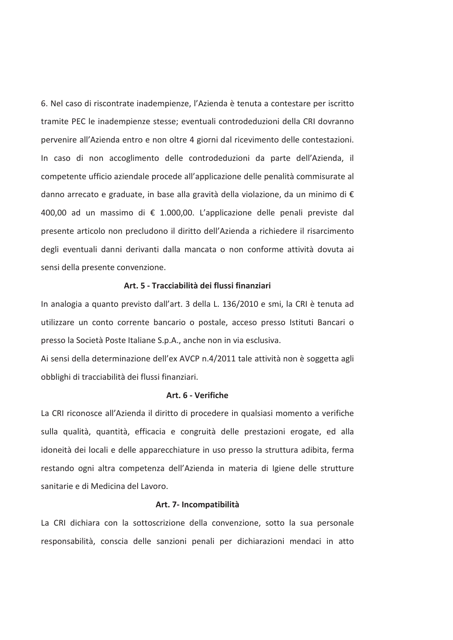6. Nel caso di riscontrate inadempienze, l'Azienda è tenuta a contestare per iscritto tramite PEC le inadempienze stesse; eventuali controdeduzioni della CRI dovranno pervenire all'Azienda entro e non oltre 4 giorni dal ricevimento delle contestazioni. In caso di non accoglimento delle controdeduzioni da parte dell'Azienda, il competente ufficio aziendale procede all'applicazione delle penalità commisurate al danno arrecato e graduate, in base alla gravità della violazione, da un minimo di € 400.00 ad un massimo di € 1.000.00. L'applicazione delle penali previste dal presente articolo non precludono il diritto dell'Azienda a richiedere il risarcimento degli eventuali danni derivanti dalla mancata o non conforme attività dovuta ai sensi della presente convenzione.

## Art. 5 - Tracciabilità dei flussi finanziari

In analogia a quanto previsto dall'art. 3 della L. 136/2010 e smi, la CRI è tenuta ad utilizzare un conto corrente bancario o postale, acceso presso Istituti Bancari o presso la Società Poste Italiane S.p.A., anche non in via esclusiva.

Ai sensi della determinazione dell'ex AVCP n.4/2011 tale attività non è soggetta agli obblighi di tracciabilità dei flussi finanziari.

## Art. 6 - Verifiche

La CRI riconosce all'Azienda il diritto di procedere in qualsiasi momento a verifiche sulla qualità, quantità, efficacia e congruità delle prestazioni erogate, ed alla idoneità dei locali e delle apparecchiature in uso presso la struttura adibita, ferma restando ogni altra competenza dell'Azienda in materia di Igiene delle strutture sanitarie e di Medicina del Lavoro.

#### Art. 7- Incompatibilità

La CRI dichiara con la sottoscrizione della convenzione, sotto la sua personale responsabilità, conscia delle sanzioni penali per dichiarazioni mendaci in atto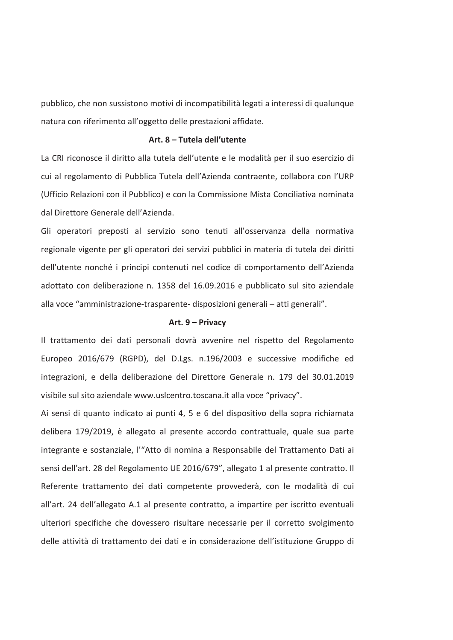pubblico, che non sussistono motivi di incompatibilità legati a interessi di qualunque natura con riferimento all'oggetto delle prestazioni affidate.

## Art. 8 - Tutela dell'utente

La CRI riconosce il diritto alla tutela dell'utente e le modalità per il suo esercizio di cui al regolamento di Pubblica Tutela dell'Azienda contraente, collabora con l'URP (Ufficio Relazioni con il Pubblico) e con la Commissione Mista Conciliativa nominata dal Direttore Generale dell'Azienda.

Gli operatori preposti al servizio sono tenuti all'osservanza della normativa regionale vigente per gli operatori dei servizi pubblici in materia di tutela dei diritti dell'utente nonché i principi contenuti nel codice di comportamento dell'Azienda adottato con deliberazione n. 1358 del 16.09.2016 e pubblicato sul sito aziendale alla voce "amministrazione-trasparente- disposizioni generali - atti generali".

## Art. 9 - Privacy

Il trattamento dei dati personali dovrà avvenire nel rispetto del Regolamento Europeo 2016/679 (RGPD), del D.Lgs. n.196/2003 e successive modifiche ed integrazioni, e della deliberazione del Direttore Generale n. 179 del 30.01.2019 visibile sul sito aziendale www.uslcentro.toscana.it alla voce "privacy".

Ai sensi di quanto indicato ai punti 4, 5 e 6 del dispositivo della sopra richiamata delibera 179/2019, è allegato al presente accordo contrattuale, quale sua parte integrante e sostanziale, l'"Atto di nomina a Responsabile del Trattamento Dati ai sensi dell'art. 28 del Regolamento UE 2016/679", allegato 1 al presente contratto. Il Referente trattamento dei dati competente provvederà, con le modalità di cui all'art. 24 dell'allegato A.1 al presente contratto, a impartire per iscritto eventuali ulteriori specifiche che dovessero risultare necessarie per il corretto svolgimento delle attività di trattamento dei dati e in considerazione dell'istituzione Gruppo di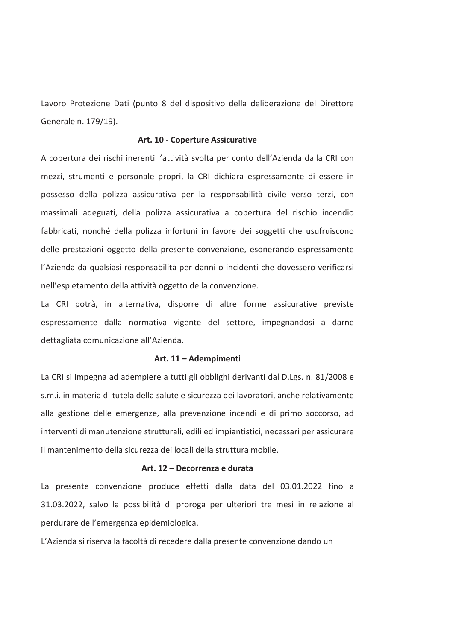Lavoro Protezione Dati (punto 8 del dispositivo della deliberazione del Direttore Generale n. 179/19).

#### Art. 10 - Coperture Assicurative

A copertura dei rischi inerenti l'attività svolta per conto dell'Azienda dalla CRI con mezzi, strumenti e personale propri, la CRI dichiara espressamente di essere in possesso della polizza assicurativa per la responsabilità civile verso terzi, con massimali adeguati, della polizza assicurativa a copertura del rischio incendio fabbricati, nonché della polizza infortuni in favore dei soggetti che usufruiscono delle prestazioni oggetto della presente convenzione, esonerando espressamente l'Azienda da qualsiasi responsabilità per danni o incidenti che dovessero verificarsi nell'espletamento della attività oggetto della convenzione.

La CRI potrà, in alternativa, disporre di altre forme assicurative previste espressamente dalla normativa vigente del settore, impegnandosi a darne dettagliata comunicazione all'Azienda.

#### Art. 11 - Adempimenti

La CRI si impegna ad adempiere a tutti gli obblighi derivanti dal D.Lgs. n. 81/2008 e s.m.i. in materia di tutela della salute e sicurezza dei lavoratori, anche relativamente alla gestione delle emergenze, alla prevenzione incendi e di primo soccorso, ad interventi di manutenzione strutturali, edili ed impiantistici, necessari per assicurare il mantenimento della sicurezza dei locali della struttura mobile.

## Art. 12 - Decorrenza e durata

La presente convenzione produce effetti dalla data del 03.01.2022 fino a 31.03.2022, salvo la possibilità di proroga per ulteriori tre mesi in relazione al perdurare dell'emergenza epidemiologica.

L'Azienda si riserva la facoltà di recedere dalla presente convenzione dando un